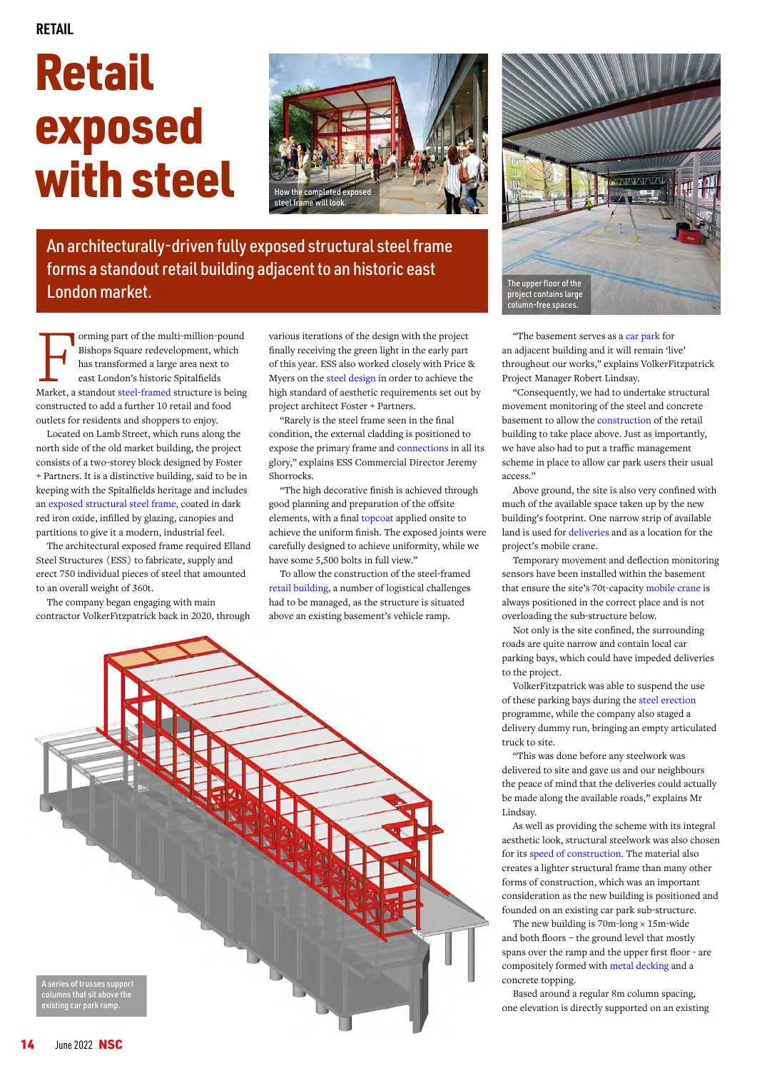## **RETAIL**

## Retail exposed with steel



An architecturally-driven fully exposed structural steel frame forms a standout retail building adjacent to an historic east London market.

Forming part of the multi-million-pound<br>
Bishops Square redevelopment, which<br>
has transformed a large area next to<br>
east London's historic Spitalfields<br>
Market, a standout [steel-framed](https://www.steelconstruction.info/Braced_frames) structure is being Bishops Square redevelopment, which has transformed a large area next to east London's historic Spitalfields constructed to add a further 10 retail and food outlets for residents and shoppers to enjoy.

Located on Lamb Street, which runs along the north side of the old market building, the project consists of a two-storey block designed by Foster + Partners. It is a distinctive building, said to be in keeping with the Spitalfields heritage and includes an [exposed structural steel frame](https://steelconstruction.info/Visually_expressed_structural_forms), coated in dark red iron oxide, infilled by glazing, canopies and partitions to give it a modern, industrial feel.

The architectural exposed frame required Elland Steel Structures (ESS) to fabricate, supply and erect 750 individual pieces of steel that amounted to an overall weight of 360t.

The company began engaging with main contractor VolkerFitzpatrick back in 2020, through various iterations of the design with the project finally receiving the green light in the early part of this year. ESS also worked closely with Price & Myers on the [steel design](https://www.steelconstruction.info/Design) in order to achieve the high standard of aesthetic requirements set out by project architect Foster + Partners.

"Rarely is the steel frame seen in the final condition, the external cladding is positioned to expose the primary frame and [connections](https://www.steelconstruction.info/Simple_connections) in all its glory," explains ESS Commercial Director Jeremy Shorrocks.

"The high decorative finish is achieved through good planning and preparation of the offsite elements, with a final [topcoat](https://www.steelconstruction.info/Paint_coatings#Finish_coat) applied onsite to achieve the uniform finish. The exposed joints were carefully designed to achieve uniformity, while we have some 5,500 bolts in full view."

To allow the construction of the steel-framed [retail building](https://www.steelconstruction.info/Retail_buildings), a number of logistical challenges had to be managed, as the structure is situated above an existing basement's vehicle ramp.





"The basement serves as [a car park](https://www.steelconstruction.info/Car_parks) for an adjacent building and it will remain 'live' throughout our works," explains VolkerFitzpatrick Project Manager Robert Lindsay.

"Consequently, we had to undertake structural movement monitoring of the steel and concrete basement to allow the [construction](https://www.steelconstruction.info/Construction) of the retail building to take place above. Just as importantly, we have also had to put a traffic management scheme in place to allow car park users their usual access."

Above ground, the site is also very confined with much of the available space taken up by the new building's footprint. One narrow strip of available land is used for [deliveries](https://www.steelconstruction.info/Fabrication#Handling_and_transportation) and as a location for the project's mobile crane.

Temporary movement and deflection monitoring sensors have been installed within the basement that ensure the site's 70t-capacity [mobile crane](https://www.steelconstruction.info/Construction#Mobile_cranes) is always positioned in the correct place and is not overloading the sub-structure below.

Not only is the site confined, the surrounding roads are quite narrow and contain local car parking bays, which could have impeded deliveries to the project.

VolkerFitzpatrick was able to suspend the use of these parking bays during the [steel erection](https://www.steelconstruction.info/Construction#Steel_erection) programme, while the company also staged a delivery dummy run, bringing an empty articulated truck to site.

"This was done before any steelwork was delivered to site and gave us and our neighbours the peace of mind that the deliveries could actually be made along the available roads," explains Mr Lindsay.

As well as providing the scheme with its integral aesthetic look, structural steelwork was also chosen for its [speed of construction.](https://www.steelconstruction.info/Retail_buildings#Speed_of_construction) The material also creates a lighter structural frame than many other forms of construction, which was an important consideration as the new building is positioned and founded on an existing car park sub-structure.

The new building is  $70m$ -long  $\times$  15m-wide and both floors – the ground level that mostly spans over the ramp and the upper first floor - are compositely formed with [metal decking](https://www.steelconstruction.info/Steel_construction_products#Decking_for_floors) and a concrete topping.

Based around a regular 8m column spacing, one elevation is directly supported on an existing